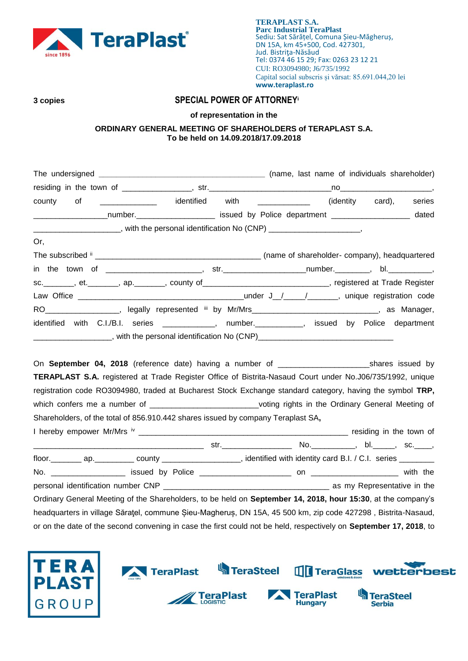

# **3 copies SPECIAL POWER OF ATTORNEY<sup>i</sup>**

**of representation in the**

## **ORDINARY GENERAL MEETING OF SHAREHOLDERS of TERAPLAST S.A. To be held on 14.09.2018/17.09.2018**

| <u>__________________</u> identified with<br>of<br>county                                                               | (identity card),<br>series |
|-------------------------------------------------------------------------------------------------------------------------|----------------------------|
| ___________________number.________________________ issued by Police department ____________________ dated               |                            |
| _______________________, with the personal identification No (CNP) _____________________,                               |                            |
| Or,                                                                                                                     |                            |
|                                                                                                                         |                            |
|                                                                                                                         |                            |
| sc. _______, et. _______, ap. _______, county of ____________________________, registered at Trade Register             |                            |
|                                                                                                                         |                            |
| RO___________________, legally represented iii by Mr/Mrs______________________________, as Manager,                     |                            |
| identified with C.I./B.I. series ____________, number. _________, issued by Police department                           |                            |
|                                                                                                                         |                            |
|                                                                                                                         |                            |
| On September 04, 2018 (reference date) having a number of ___________________________shares issued by                   |                            |
| TERAPLAST S.A. registered at Trade Register Office of Bistrita-Nasaud Court under No.J06/735/1992, unique               |                            |
| registration code RO3094980, traded at Bucharest Stock Exchange standard category, having the symbol TRP,               |                            |
| which confers me a number of _____________________________voting rights in the Ordinary General Meeting of              |                            |
| Shareholders, of the total of 856.910.442 shares issued by company Teraplast SA,                                        |                            |
|                                                                                                                         |                            |
|                                                                                                                         |                            |
| floor. _________ ap. ___________ county ____________________, identified with identity card B.I. / C.I. series ________ |                            |
|                                                                                                                         |                            |
|                                                                                                                         |                            |
| Ordinary General Meeting of the Shareholders, to be held on September 14, 2018, hour 15:30, at the company's            |                            |
| headquarters in village Sărațel, commune Șieu-Magheruș, DN 15A, 45 500 km, zip code 427298, Bistrita-Nasaud,            |                            |
| or on the date of the second convening in case the first could not be held, respectively on September 17, 2018, to      |                            |

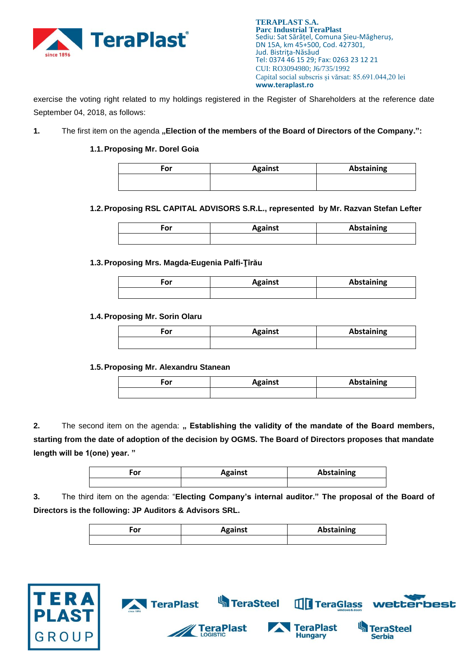

exercise the voting right related to my holdings registered in the Register of Shareholders at the reference date September 04, 2018, as follows:

1. The first item on the agenda "Election of the members of the Board of Directors of the Company.":

### **1.1.Proposing Mr. Dorel Goia**

| For | <b>Against</b> | <b>Abstaining</b> |
|-----|----------------|-------------------|
|     |                |                   |
|     |                |                   |

**1.2.Proposing RSL CAPITAL ADVISORS S.R.L., represented by Mr. Razvan Stefan Lefter**

| ٠or | <b>Against</b> | Abstaining |
|-----|----------------|------------|
|     |                |            |

### **1.3.Proposing Mrs. Magda-Eugenia Palfi-Ţîrău**

| or | <b>Against</b> | Abstaining |
|----|----------------|------------|
|    |                |            |

### **1.4.Proposing Mr. Sorin Olaru**

| ∙or | <b>Against</b> | <b>Abstaining</b> |
|-----|----------------|-------------------|
|     |                |                   |

### **1.5.Proposing Mr. Alexandru Stanean**

| ---<br>οr | <b>Against</b> | <b>Abstaining</b> |
|-----------|----------------|-------------------|
|           |                |                   |

2. The second item on the agenda: " Establishing the validity of the mandate of the Board members, **starting from the date of adoption of the decision by OGMS. The Board of Directors proposes that mandate length will be 1(one) year. "**

| ۰or | <b>Against</b> | <b>Abstaining</b> |
|-----|----------------|-------------------|
|     |                |                   |

**3.** The third item on the agenda: "**Electing Company's internal auditor." The proposal of the Board of Directors is the following: JP Auditors & Advisors SRL.**

| ÷or | <b>Against</b> | <b>Abstaining</b> |
|-----|----------------|-------------------|
|     |                |                   |

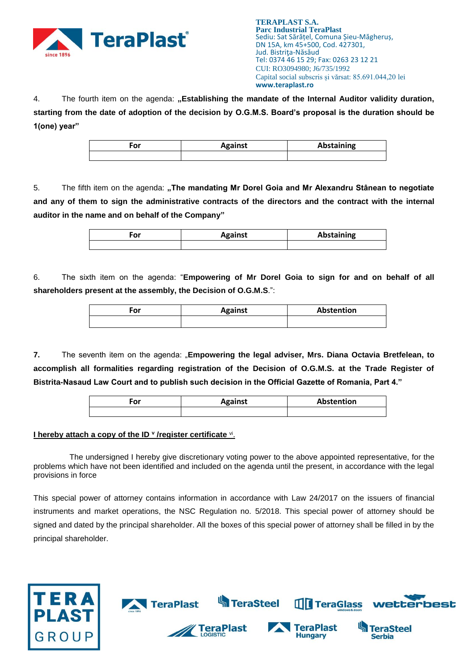

4. The fourth item on the agenda: "**Establishing the mandate of the Internal Auditor validity duration**, **starting from the date of adoption of the decision by O.G.M.S. Board's proposal is the duration should be 1(one) year"**

| ∙or | <b>Against</b> | Abstaining |
|-----|----------------|------------|
|     |                |            |

5. The fifth item on the agenda: **"The mandating Mr Dorel Goia and Mr Alexandru Stânean to negotiate and any of them to sign the administrative contracts of the directors and the contract with the internal auditor in the name and on behalf of the Company"**

| ^" | <b>Against</b> | Abstaining |
|----|----------------|------------|
|    |                |            |

6. The sixth item on the agenda: "**Empowering of Mr Dorel Goia to sign for and on behalf of all shareholders present at the assembly, the Decision of O.G.M.S**.":

| ^" | <b>Against</b> | Abstention |
|----|----------------|------------|
|    |                |            |

**7.** The seventh item on the agenda: "**Empowering the legal adviser, Mrs. Diana Octavia Bretfelean, to accomplish all formalities regarding registration of the Decision of O.G.M.S. at the Trade Register of Bistrita-Nasaud Law Court and to publish such decision in the Official Gazette of Romania, Part 4."**

| or | <b>Against</b> | Abstention |
|----|----------------|------------|
|    |                |            |

### **I hereby attach a copy of the ID <sup>v</sup> /register certificate <sup>vi</sup>.**

The undersigned I hereby give discretionary voting power to the above appointed representative, for the problems which have not been identified and included on the agenda until the present, in accordance with the legal provisions in force

This special power of attorney contains information in accordance with Law 24/2017 on the issuers of financial instruments and market operations, the NSC Regulation no. 5/2018. This special power of attorney should be signed and dated by the principal shareholder. All the boxes of this special power of attorney shall be filled in by the principal shareholder.